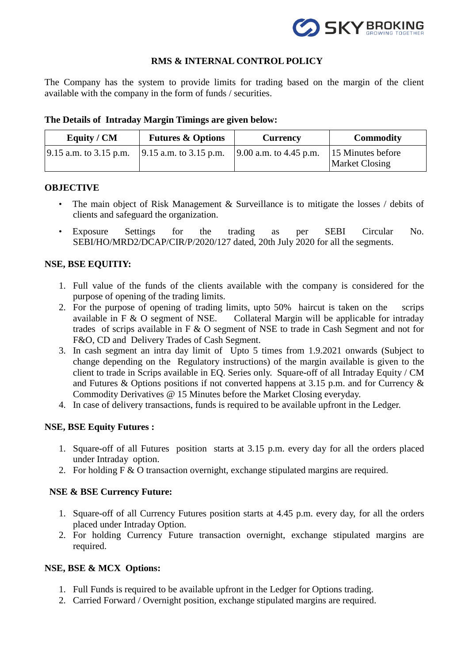

# **RMS & INTERNAL CONTROL POLICY**

The Company has the system to provide limits for trading based on the margin of the client available with the company in the form of funds / securities.

| Equity / CM               | <b>Futures &amp; Options</b>   | <b>Currency</b>                | <b>Commodity</b>                           |
|---------------------------|--------------------------------|--------------------------------|--------------------------------------------|
| $ 9.15$ a.m. to 3.15 p.m. | $\vert$ 9.15 a.m. to 3.15 p.m. | $\vert 9.00$ a.m. to 4.45 p.m. | 15 Minutes before<br><b>Market Closing</b> |

#### **The Details of Intraday Margin Timings are given below:**

#### **OBJECTIVE**

- The main object of Risk Management & Surveillance is to mitigate the losses / debits of clients and safeguard the organization.
- Exposure Settings for the trading as per SEBI Circular No. SEBI/HO/MRD2/DCAP/CIR/P/2020/127 dated, 20th July 2020 for all the segments.

# **NSE, BSE EQUITIY:**

- 1. Full value of the funds of the clients available with the company is considered for the purpose of opening of the trading limits.
- 2. For the purpose of opening of trading limits, upto 50% haircut is taken on the scrips available in F & O segment of NSE. Collateral Margin will be applicable for intraday trades of scrips available in F & O segment of NSE to trade in Cash Segment and not for F&O, CD and Delivery Trades of Cash Segment.
- 3. In cash segment an intra day limit of Upto 5 times from 1.9.2021 onwards (Subject to change depending on the Regulatory instructions) of the margin available is given to the client to trade in Scrips available in EQ. Series only. Square-off of all Intraday Equity / CM and Futures & Options positions if not converted happens at 3.15 p.m. and for Currency & Commodity Derivatives @ 15 Minutes before the Market Closing everyday.
- 4. In case of delivery transactions, funds is required to be available upfront in the Ledger.

#### **NSE, BSE Equity Futures :**

- 1. Square-off of all Futures position starts at 3.15 p.m. every day for all the orders placed under Intraday option.
- 2. For holding F & O transaction overnight, exchange stipulated margins are required.

#### **NSE & BSE Currency Future:**

- 1. Square-off of all Currency Futures position starts at 4.45 p.m. every day, for all the orders placed under Intraday Option.
- 2. For holding Currency Future transaction overnight, exchange stipulated margins are required.

#### **NSE, BSE & MCX Options:**

- 1. Full Funds is required to be available upfront in the Ledger for Options trading.
- 2. Carried Forward / Overnight position, exchange stipulated margins are required.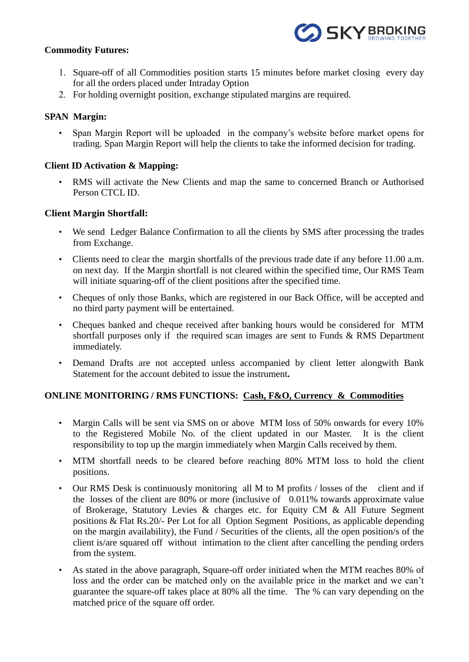

#### **Commodity Futures:**

- 1. Square-off of all Commodities position starts 15 minutes before market closing every day for all the orders placed under Intraday Option
- 2. For holding overnight position, exchange stipulated margins are required.

# **SPAN Margin:**

• Span Margin Report will be uploaded in the company's website before market opens for trading. Span Margin Report will help the clients to take the informed decision for trading.

# **Client ID Activation & Mapping:**

• RMS will activate the New Clients and map the same to concerned Branch or Authorised Person CTCL ID.

#### **Client Margin Shortfall:**

- We send Ledger Balance Confirmation to all the clients by SMS after processing the trades from Exchange.
- Clients need to clear the margin shortfalls of the previous trade date if any before 11.00 a.m. on next day. If the Margin shortfall is not cleared within the specified time, Our RMS Team will initiate squaring-off of the client positions after the specified time.
- Cheques of only those Banks, which are registered in our Back Office, will be accepted and no third party payment will be entertained.
- Cheques banked and cheque received after banking hours would be considered for MTM shortfall purposes only if the required scan images are sent to Funds & RMS Department immediately.
- Demand Drafts are not accepted unless accompanied by client letter alongwith Bank Statement for the account debited to issue the instrument**.**

# **ONLINE MONITORING / RMS FUNCTIONS: Cash, F&O, Currency & Commodities**

- Margin Calls will be sent via SMS on or above MTM loss of 50% onwards for every 10% to the Registered Mobile No. of the client updated in our Master. It is the client responsibility to top up the margin immediately when Margin Calls received by them.
- MTM shortfall needs to be cleared before reaching 80% MTM loss to hold the client positions.
- Our RMS Desk is continuously monitoring all M to M profits / losses of the client and if the losses of the client are 80% or more (inclusive of 0.011% towards approximate value of Brokerage, Statutory Levies & charges etc. for Equity CM & All Future Segment positions & Flat Rs.20/- Per Lot for all Option Segment Positions, as applicable depending on the margin availability), the Fund / Securities of the clients, all the open position/s of the client is/are squared off without intimation to the client after cancelling the pending orders from the system.
- As stated in the above paragraph, Square-off order initiated when the MTM reaches 80% of loss and the order can be matched only on the available price in the market and we can't guarantee the square-off takes place at 80% all the time. The % can vary depending on the matched price of the square off order.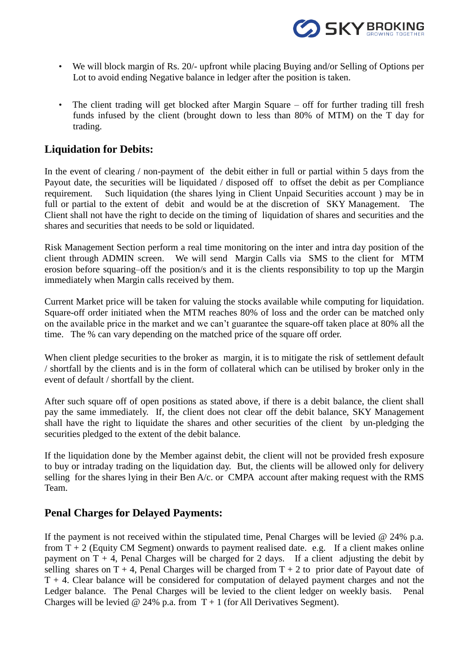

- We will block margin of Rs. 20/- upfront while placing Buying and/or Selling of Options per Lot to avoid ending Negative balance in ledger after the position is taken.
- The client trading will get blocked after Margin Square off for further trading till fresh funds infused by the client (brought down to less than 80% of MTM) on the T day for trading.

# **Liquidation for Debits:**

In the event of clearing / non-payment of the debit either in full or partial within 5 days from the Payout date, the securities will be liquidated / disposed off to offset the debit as per Compliance requirement. Such liquidation (the shares lying in Client Unpaid Securities account ) may be in full or partial to the extent of debit and would be at the discretion of SKY Management. The Client shall not have the right to decide on the timing of liquidation of shares and securities and the shares and securities that needs to be sold or liquidated.

Risk Management Section perform a real time monitoring on the inter and intra day position of the client through ADMIN screen. We will send Margin Calls via SMS to the client for MTM erosion before squaring–off the position/s and it is the clients responsibility to top up the Margin immediately when Margin calls received by them.

Current Market price will be taken for valuing the stocks available while computing for liquidation. Square-off order initiated when the MTM reaches 80% of loss and the order can be matched only on the available price in the market and we can't guarantee the square-off taken place at 80% all the time. The % can vary depending on the matched price of the square off order.

When client pledge securities to the broker as margin, it is to mitigate the risk of settlement default / shortfall by the clients and is in the form of collateral which can be utilised by broker only in the event of default / shortfall by the client.

After such square off of open positions as stated above, if there is a debit balance, the client shall pay the same immediately. If, the client does not clear off the debit balance, SKY Management shall have the right to liquidate the shares and other securities of the client by un-pledging the securities pledged to the extent of the debit balance.

If the liquidation done by the Member against debit, the client will not be provided fresh exposure to buy or intraday trading on the liquidation day. But, the clients will be allowed only for delivery selling for the shares lying in their Ben A/c. or CMPA account after making request with the RMS Team.

# **Penal Charges for Delayed Payments:**

If the payment is not received within the stipulated time, Penal Charges will be levied  $\omega$  24% p.a. from  $T + 2$  (Equity CM Segment) onwards to payment realised date. e.g. If a client makes online payment on  $T + 4$ , Penal Charges will be charged for 2 days. If a client adjusting the debit by selling shares on  $T + 4$ , Penal Charges will be charged from  $T + 2$  to prior date of Payout date of  $T + 4$ . Clear balance will be considered for computation of delayed payment charges and not the Ledger balance. The Penal Charges will be levied to the client ledger on weekly basis. Penal Charges will be levied @ 24% p.a. from  $T + 1$  (for All Derivatives Segment).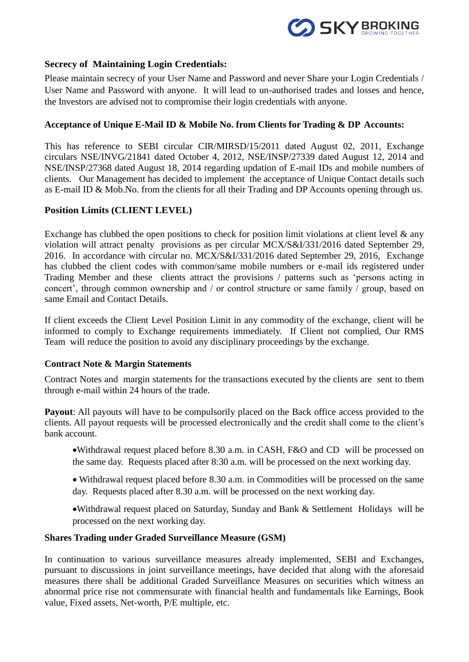

# **Secrecy of Maintaining Login Credentials:**

Please maintain secrecy of your User Name and Password and never Share your Login Credentials / User Name and Password with anyone. It will lead to un-authorised trades and losses and hence, the Investors are advised not to compromise their login credentials with anyone.

#### **Acceptance of Unique E-Mail ID & Mobile No. from Clients for Trading & DP Accounts:**

This has reference to SEBI circular CIR/MIRSD/15/2011 dated August 02, 2011, Exchange circulars NSE/INVG/21841 dated October 4, 2012, NSE/INSP/27339 dated August 12, 2014 and NSE/INSP/27368 dated August 18, 2014 regarding updation of E-mail IDs and mobile numbers of clients. Our Management has decided to implement the acceptance of Unique Contact details such as E-mail ID & Mob.No. from the clients for all their Trading and DP Accounts opening through us.

# **Position Limits (CLIENT LEVEL)**

Exchange has clubbed the open positions to check for position limit violations at client level  $\&$  any violation will attract penalty provisions as per circular MCX/S&I/331/2016 dated September 29, 2016. In accordance with circular no. MCX/S&I/331/2016 dated September 29, 2016, Exchange has clubbed the client codes with common/same mobile numbers or e-mail ids registered under Trading Member and these clients attract the provisions / patterns such as 'persons acting in concert', through common ownership and / or control structure or same family / group, based on same Email and Contact Details.

If client exceeds the Client Level Position Limit in any commodity of the exchange, client will be informed to comply to Exchange requirements immediately. If Client not complied, Our RMS Team will reduce the position to avoid any disciplinary proceedings by the exchange.

#### **Contract Note & Margin Statements**

Contract Notes and margin statements for the transactions executed by the clients are sent to them through e-mail within 24 hours of the trade.

**Payout:** All payouts will have to be compulsorily placed on the Back office access provided to the clients. All payout requests will be processed electronically and the credit shall come to the client's bank account.

- Withdrawal request placed before 8.30 a.m. in CASH, F&O and CD will be processed on the same day. Requests placed after 8:30 a.m. will be processed on the next working day.
- Withdrawal request placed before 8.30 a.m. in Commodities will be processed on the same day. Requests placed after 8.30 a.m. will be processed on the next working day.
- Withdrawal request placed on Saturday, Sunday and Bank & Settlement Holidays will be processed on the next working day.

#### **Shares Trading under Graded Surveillance Measure (GSM)**

In continuation to various surveillance measures already implemented, SEBI and Exchanges, pursuant to discussions in joint surveillance meetings, have decided that along with the aforesaid measures there shall be additional Graded Surveillance Measures on securities which witness an abnormal price rise not commensurate with financial health and fundamentals like Earnings, Book value, Fixed assets, Net-worth, P/E multiple, etc.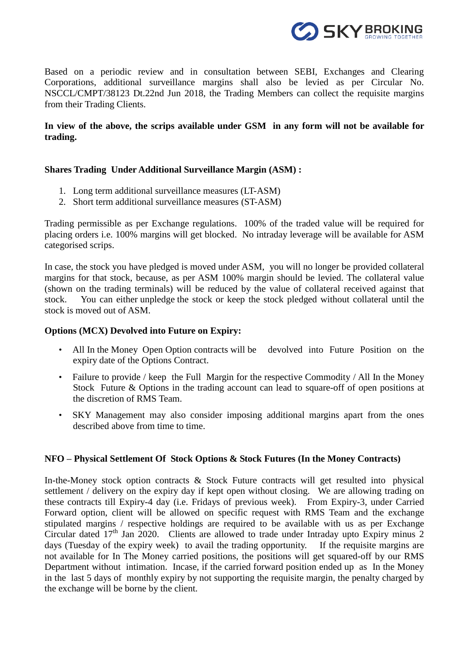

Based on a periodic review and in consultation between SEBI, Exchanges and Clearing Corporations, additional surveillance margins shall also be levied as per Circular No. NSCCL/CMPT/38123 Dt.22nd Jun 2018, the Trading Members can collect the requisite margins from their Trading Clients.

# **In view of the above, the scrips available under GSM in any form will not be available for trading.**

#### **Shares Trading Under Additional Surveillance Margin (ASM) :**

- 1. [Long term additional surveillance measures](https://www1.nseindia.com/invest/content/Long_Term_ASM.csv) (LT-ASM)
- 2. [Short term additional surveillance measures](https://www1.nseindia.com/invest/content/Short_Term_ASM.csv) (ST-ASM)

Trading permissible as per Exchange regulations. 100% of the traded value will be required for placing orders i.e. 100% margins will get blocked. No intraday leverage will be available for ASM categorised scrips.

In case, the stock you have [pledged](https://support.zerodha.com/category/q-backoffice/portfolio/articles/how-do-i-pledge-my-shares-to-get-collateral-margin) is moved under ASM, you will no longer be provided collateral margins for that stock, because, as per ASM 100% margin should be levied. The collateral value (shown on the trading terminals) will be reduced by the value of collateral received against that stock. You can either [unpledge](https://support.zerodha.com/category/q-backoffice/portfolio/articles/how-do-i-unpledge-shares) the stock or keep the stock pledged without collateral until the stock is moved out of ASM.

#### **Options (MCX) Devolved into Future on Expiry:**

- All In the Money Open Option contracts will be devolved into Future Position on the expiry date of the Options Contract.
- Failure to provide / keep the Full Margin for the respective Commodity / All In the Money Stock Future & Options in the trading account can lead to square-off of open positions at the discretion of RMS Team.
- SKY Management may also consider imposing additional margins apart from the ones described above from time to time.

#### **NFO – Physical Settlement Of Stock Options & Stock Futures (In the Money Contracts)**

In-the-Money stock option contracts & Stock Future contracts will get resulted into physical settlement / delivery on the expiry day if kept open without closing. We are allowing trading on these contracts till Expiry-4 day (i.e. Fridays of previous week). From Expiry-3, under Carried Forward option, client will be allowed on specific request with RMS Team and the exchange stipulated margins / respective holdings are required to be available with us as per Exchange Circular dated  $17<sup>th</sup>$  Jan 2020. Clients are allowed to trade under Intraday upto Expiry minus 2 days (Tuesday of the expiry week) to avail the trading opportunity. If the requisite margins are not available for In The Money carried positions, the positions will get squared-off by our RMS Department without intimation. Incase, if the carried forward position ended up as In the Money in the last 5 days of monthly expiry by not supporting the requisite margin, the penalty charged by the exchange will be borne by the client.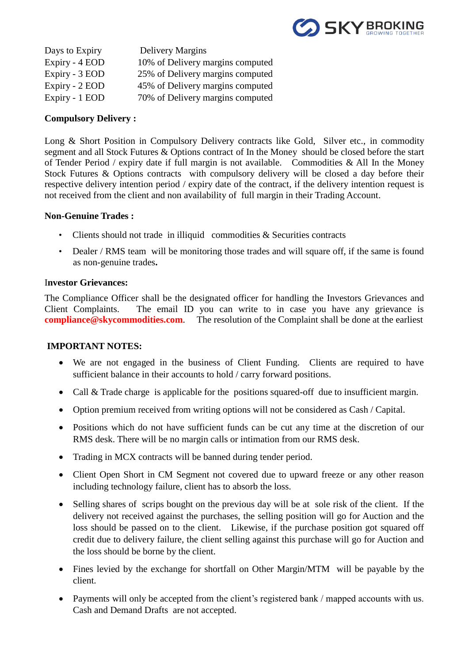

| Days to Expiry | Delivery Margins                 |
|----------------|----------------------------------|
| Expiry - 4 EOD | 10% of Delivery margins computed |
| Expiry - 3 EOD | 25% of Delivery margins computed |
| Expiry - 2 EOD | 45% of Delivery margins computed |
| Expiry - 1 EOD | 70% of Delivery margins computed |

#### **Compulsory Delivery :**

Long & Short Position in Compulsory Delivery contracts like Gold, Silver etc., in commodity segment and all Stock Futures & Options contract of In the Money should be closed before the start of Tender Period / expiry date if full margin is not available. Commodities & All In the Money Stock Futures & Options contracts with compulsory delivery will be closed a day before their respective delivery intention period / expiry date of the contract, if the delivery intention request is not received from the client and non availability of full margin in their Trading Account.

# **Non-Genuine Trades :**

- Clients should not trade in illiquid commodities & Securities contracts
- Dealer / RMS team will be monitoring those trades and will square off, if the same is found as non-genuine trades**.**

#### I**nvestor Grievances:**

The Compliance Officer shall be the designated officer for handling the Investors Grievances and Client Complaints. The email ID you can write to in case you have any grievance is **compliance@skycommodities.com**. The resolution of the Complaint shall be done at the earliest

#### **IMPORTANT NOTES:**

- We are not engaged in the business of Client Funding. Clients are required to have sufficient balance in their accounts to hold / carry forward positions.
- Call & Trade charge is applicable for the positions squared-off due to insufficient margin.
- Option premium received from writing options will not be considered as Cash / Capital.
- Positions which do not have sufficient funds can be cut any time at the discretion of our RMS desk. There will be no margin calls or intimation from our RMS desk.
- Trading in MCX contracts will be banned during tender period.
- Client Open Short in CM Segment not covered due to upward freeze or any other reason including technology failure, client has to absorb the loss.
- Selling shares of scrips bought on the previous day will be at sole risk of the client. If the delivery not received against the purchases, the selling position will go for Auction and the loss should be passed on to the client. Likewise, if the purchase position got squared off credit due to delivery failure, the client selling against this purchase will go for Auction and the loss should be borne by the client.
- Fines levied by the exchange for shortfall on Other Margin/MTM will be payable by the client.
- Payments will only be accepted from the client's registered bank / mapped accounts with us. Cash and Demand Drafts are not accepted.